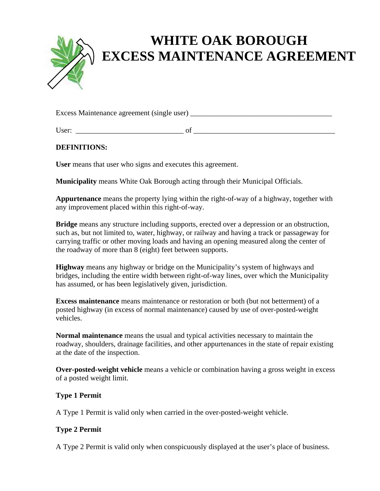

# **WHITE OAK BOROUGH EXCESS MAINTENANCE AGREEMENT**

Excess Maintenance agreement (single user)

User:  $\Box$ 

## **DEFINITIONS:**

**User** means that user who signs and executes this agreement.

**Municipality** means White Oak Borough acting through their Municipal Officials.

**Appurtenance** means the property lying within the right-of-way of a highway, together with any improvement placed within this right-of-way.

**Bridge** means any structure including supports, erected over a depression or an obstruction, such as, but not limited to, water, highway, or railway and having a track or passageway for carrying traffic or other moving loads and having an opening measured along the center of the roadway of more than 8 (eight) feet between supports.

**Highway** means any highway or bridge on the Municipality's system of highways and bridges, including the entire width between right-of-way lines, over which the Municipality has assumed, or has been legislatively given, jurisdiction.

**Excess maintenance** means maintenance or restoration or both (but not betterment) of a posted highway (in excess of normal maintenance) caused by use of over-posted-weight vehicles.

**Normal maintenance** means the usual and typical activities necessary to maintain the roadway, shoulders, drainage facilities, and other appurtenances in the state of repair existing at the date of the inspection.

**Over-posted-weight vehicle** means a vehicle or combination having a gross weight in excess of a posted weight limit.

## **Type 1 Permit**

A Type 1 Permit is valid only when carried in the over-posted-weight vehicle.

## **Type 2 Permit**

A Type 2 Permit is valid only when conspicuously displayed at the user's place of business.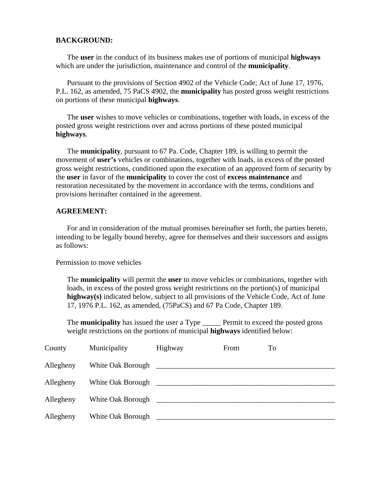#### **BACKGROUND:**

 The **user** in the conduct of its business makes use of portions of municipal **highways** which are under the jurisdiction, maintenance and control of the **municipality**.

 Pursuant to the provisions of Section 4902 of the Vehicle Code; Act of June 17, 1976, P.L. 162, as amended, 75 PaCS 4902, the **municipality** has posted gross weight restrictions on portions of these municipal **highways**.

 The **user** wishes to move vehicles or combinations, together with loads, in excess of the posted gross weight restrictions over and across portions of these posted municipal **highways**.

 The **municipality**, pursuant to 67 Pa. Code, Chapter 189, is willing to permit the movement of **user's** vehicles or combinations, together with loads, in excess of the posted gross weight restrictions, conditioned upon the execution of an approved form of security by the **user** in favor of the **municipality** to cover the cost of **excess maintenance** and restoration necessitated by the movement in accordance with the terms, conditions and provisions herinafter contained in the agreement.

#### **AGREEMENT:**

For and in consideration of the mutual promises hereinafter set forth, the parties hereto, intending to be legally bound hereby, agree for themselves and their successors and assigns as follows:

Permission to move vehicles

The **municipality** will permit the **user** to move vehicles or combinations, together with loads, in excess of the posted gross weight restrictions on the portion(s) of municipal **highway(s)** indicated below, subject to all provisions of the Vehicle Code, Act of June 17, 1976 P.L. 162, as amended, (75PaCS) and 67 Pa Code, Chapter 189.

 The **municipality** has issued the user a Type \_\_\_\_\_ Permit to exceed the posted gross weight restrictions on the portions of municipal **highways** identified below:

| County    | Municipality      | Highway | From | To |
|-----------|-------------------|---------|------|----|
| Allegheny | White Oak Borough |         |      |    |
| Allegheny | White Oak Borough |         |      |    |
| Allegheny | White Oak Borough |         |      |    |
| Allegheny | White Oak Borough |         |      |    |